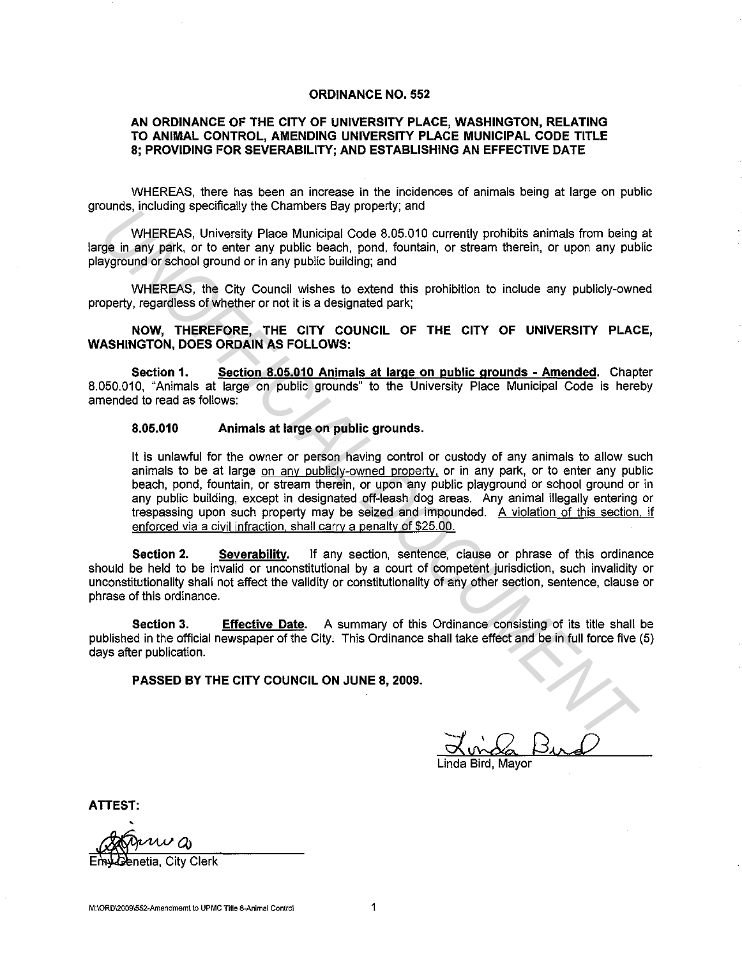## **ORDINANCE NO. 552**

## **AN ORDINANCE OF THE CITY OF UNIVERSITY PLACE, WASHINGTON, RELATING TO ANIMAL CONTROL, AMENDING UNIVERSITY PLACE MUNICIPAL CODE TITLE 8; PROVIDING FOR SEVERABILITY; AND ESTABLISHING AN EFFECTIVE DATE**

WHEREAS, there has been an increase in the incidences of animals being at large on public grounds, including specifically the Chambers Bay property; and

WHEREAS, University Place Municipal Code 8.05.010 currently prohibits animals from being at large in any park, or to enter any public beach, pond, fountain, or stream therein, or upon any public playground or school ground or in any public building; and

WHEREAS, the City Council wishes to extend this prohibition to include any publicly-owned property, regardless of whether or not it is a designated park;

**NOW, THEREFORE, THE CITY COUNCIL OF THE CITY OF UNIVERSITY PLACE, WASHINGTON, DOES ORDAIN AS FOLLOWS:** 

**Section 1. Section 8.05.010 Animals at large on public grounds - Amended.** Chapter 8.050.010, "Animals at large on public grounds" to the University Place Municipal Code is hereby amended to read as follows:

## **8.05.010 Animals at large on public grounds.**

It is unlawful for the owner or person having control or custody of any animals to allow such animals to be at large on any publicly-owned property, or in any park, or to enter any public beach, pond, fountain, or stream therein, or upon any public playground or school ground or in any public building, except in designated off-leash dog areas. Any animal illegally entering or trespassing upon such property may be seized and impounded. A violation of this section. if enforced via a civil infraction, shall carry a penalty of \$25.00. **UNITEREAS.** University Place Municipal Cole 8.05.010 currently prohibits animals from being<br> **WHEREAS.** University Place Municipal Cole 8.05.010 currently prohibits animals from being<br>
ge in any park, or to enter any publ

**Section 2. Severability.** If any section, sentence, clause or phrase of this ordinance should be held to be invalid or unconstitutional by a court of competent jurisdiction, such invalidity or unconstitutionality shall not affect the validity or constitutionality of any other section, sentence, clause or phrase of this ordinance.

**Section 3.** Effective Date. A summary of this Ordinance consisting of its title shall be published in the official newspaper of the City, This Ordinance shall take effect and be in full force five (5) days after publication.

**PASSED BY THE CITY COUNCIL ON JUNE 8, 2009.** 

Linda Bird, Mayor

**ATTEST:** 

าetia. Citv Clerk